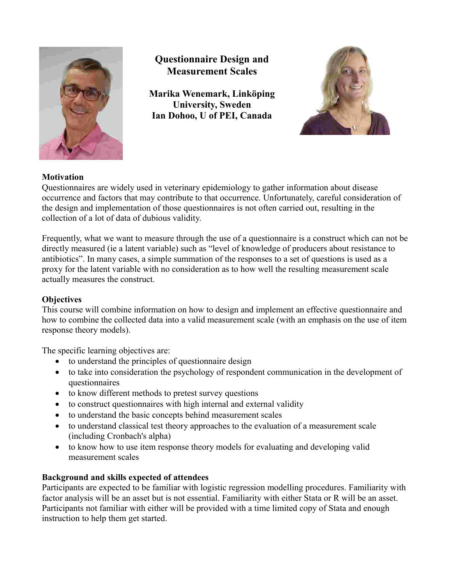

# **Questionnaire Design and Measurement Scales**

**Marika Wenemark, Linköping University, Sweden Ian Dohoo, U of PEI, Canada**



# **Motivation**

Questionnaires are widely used in veterinary epidemiology to gather information about disease occurrence and factors that may contribute to that occurrence. Unfortunately, careful consideration of the design and implementation of those questionnaires is not often carried out, resulting in the collection of a lot of data of dubious validity.

Frequently, what we want to measure through the use of a questionnaire is a construct which can not be directly measured (ie a latent variable) such as "level of knowledge of producers about resistance to antibiotics". In many cases, a simple summation of the responses to a set of questions is used as a proxy for the latent variable with no consideration as to how well the resulting measurement scale actually measures the construct.

# **Objectives**

This course will combine information on how to design and implement an effective questionnaire and how to combine the collected data into a valid measurement scale (with an emphasis on the use of item response theory models).

The specific learning objectives are:

- to understand the principles of questionnaire design
- to take into consideration the psychology of respondent communication in the development of questionnaires
- to know different methods to pretest survey questions
- to construct questionnaires with high internal and external validity
- to understand the basic concepts behind measurement scales
- to understand classical test theory approaches to the evaluation of a measurement scale (including Cronbach's alpha)
- to know how to use item response theory models for evaluating and developing valid measurement scales

# **Background and skills expected of attendees**

Participants are expected to be familiar with logistic regression modelling procedures. Familiarity with factor analysis will be an asset but is not essential. Familiarity with either Stata or R will be an asset. Participants not familiar with either will be provided with a time limited copy of Stata and enough instruction to help them get started.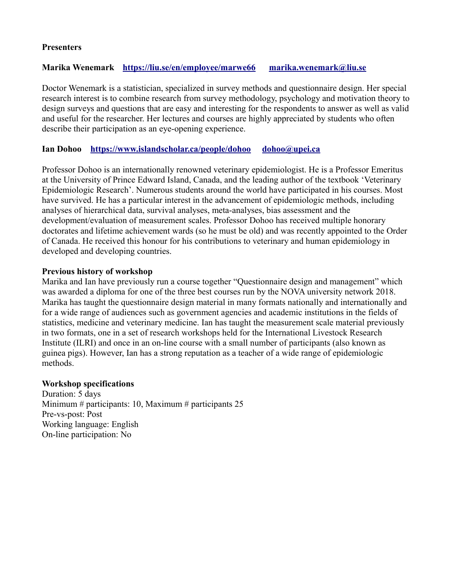#### **Presenters**

### **Marika Wenemark <https://liu.se/en/employee/marwe66>[marika.wenemark@liu.se](mailto:marika.wenemark@liu.se)**

Doctor Wenemark is a statistician, specialized in survey methods and questionnaire design. Her special research interest is to combine research from survey methodology, psychology and motivation theory to design surveys and questions that are easy and interesting for the respondents to answer as well as valid and useful for the researcher. Her lectures and courses are highly appreciated by students who often describe their participation as an eye-opening experience.

#### **Ian Dohoo <https://www.islandscholar.ca/people/dohoo>[dohoo@upei.ca](mailto:dohoo@upei.ca)**

Professor Dohoo is an internationally renowned veterinary epidemiologist. He is a Professor Emeritus at the University of Prince Edward Island, Canada, and the leading author of the textbook 'Veterinary Epidemiologic Research'. Numerous students around the world have participated in his courses. Most have survived. He has a particular interest in the advancement of epidemiologic methods, including analyses of hierarchical data, survival analyses, meta-analyses, bias assessment and the development/evaluation of measurement scales. Professor Dohoo has received multiple honorary doctorates and lifetime achievement wards (so he must be old) and was recently appointed to the Order of Canada. He received this honour for his contributions to veterinary and human epidemiology in developed and developing countries.

#### **Previous history of workshop**

Marika and Ian have previously run a course together "Questionnaire design and management" which was awarded a diploma for one of the three best courses run by the NOVA university network 2018. Marika has taught the questionnaire design material in many formats nationally and internationally and for a wide range of audiences such as government agencies and academic institutions in the fields of statistics, medicine and veterinary medicine. Ian has taught the measurement scale material previously in two formats, one in a set of research workshops held for the International Livestock Research Institute (ILRI) and once in an on-line course with a small number of participants (also known as guinea pigs). However, Ian has a strong reputation as a teacher of a wide range of epidemiologic methods.

#### **Workshop specifications**

Duration: 5 days Minimum # participants: 10, Maximum # participants 25 Pre-vs-post: Post Working language: English On-line participation: No